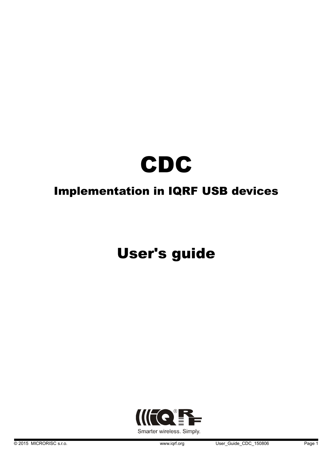

## Implementation in IQRF USB devices

# User's guide

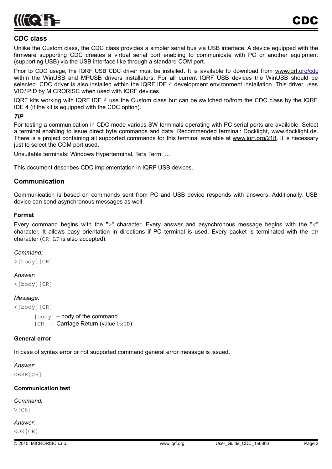

#### **CDC class**

Unlike the Custom class, the CDC class provides a simpler serial bus via USB interface. A device equipped with the firmware supporting CDC creates a virtual serial port enabling to communicate with PC or another equipment (supporting USB) via the USB interface like through a standard COM port.

Prior to CDC usage, the IQRF USB CDC driver must be installed. It is available to download from [www.iqrf.org/cdc](http://www.iqrf.org/cdc) within the WinUSB and MPUSB drivers installators. For all current IQRF USB devices the WinUSB should be selected. CDC driver is also installed within the IQRF IDE 4 development environment installation. This driver uses VID/ PID by MICRORISC when used with IQRF devices.

IQRF kits working with IQRF IDE 4 use the Custom class but can be switched to/from the CDC class by the IQRF IDE 4 (if the kit is equipped with the CDC option).

#### *TIP*

For testing a communication in CDC mode various SW terminals operating with PC serial ports are available. Select a terminal enabling to issue direct byte commands and data. Recommended terminal: Docklight, [www.docklight.de.](http://www.docklight.de/) There is a project containing all supported commands for this terminal available at www.igrf.org/218. It is necessary just to select the COM port used.

Unsuitable terminals: Windows Hyperterminal, Tera Term, …

This document describes CDC implementation in IQRF USB devices.

#### **Communication**

Communication is based on commands sent from PC and USB device responds with answers. Additionally, USB device can send asynchronous messages as well.

#### **Format**

Every command begins with the ">" character. Every answer and asynchronous message begins with the "<" character. It allows easy orientation in directions if PC terminal is used. Every packet is terminated with the CR character (CR LF is also accepted).

#### *Command:*

>[body][CR]

#### *Answer:*

<[body][CR]

#### *Message:*

<[body][CR]

 $[body]$  – body of the command  $[CR] - Carriage Return (value  $0x0D$ )$ 

#### **General error**

In case of syntax error or not supported command general error message is issued.

*Answer:*

<ERR[CR]

#### **Communication test**

#### *Command:*

 $>[CR]$ 

## *Answer:*

<OK[CR]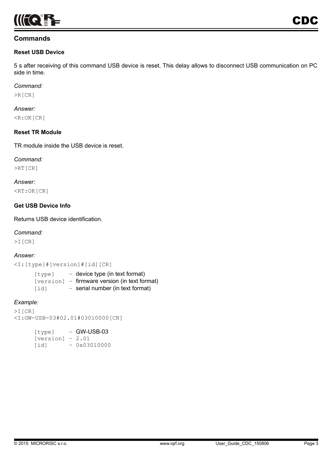

#### **Commands**

#### **Reset USB Device**

5 s after receiving of this command USB device is reset. This delay allows to disconnect USB communication on PC side in time.

#### *Command:*

>R[CR]

#### *Answer:*  $\leq R:\mathsf{OK}[\mathsf{CR}]$

#### **Reset TR Module**

TR module inside the USB device is reset.

#### *Command:*

>RT[CR]

*Answer:* <RT:OK[CR]

#### **Get USB Device Info**

Returns USB device identification.

#### *Command:*

>I[CR]

#### *Answer:*

<I:[type]#[version]#[id][CR]

| [type] | $-$ device type (in text format)              |
|--------|-----------------------------------------------|
|        | [version] - firmware version (in text format) |
| [id]   | - serial number (in text format)              |

#### *Example:*

```
>I[CR]
<I:GW-USB-03#02.01#03010000[CR]
```

| [type]             | $-$ GW-USB-03 |
|--------------------|---------------|
| $[version] - 2.01$ |               |
| [id]               | $-0x03010000$ |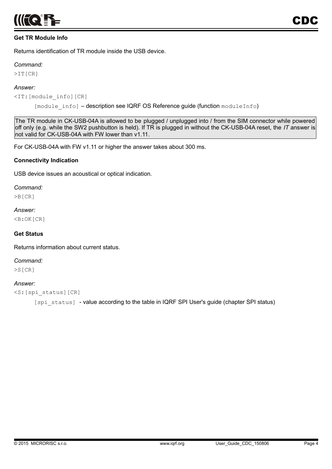

#### **Get TR Module Info**

Returns identification of TR module inside the USB device.

#### *Command:*

>IT[CR]

#### *Answer:*

<IT:[module\_info][CR]

[module info] - description see IQRF OS Reference guide (function moduleInfo)

The TR module in CK-USB-04A is allowed to be plugged / unplugged into / from the SIM connector while powered off only (e.g. while the SW2 pushbutton is held). If TR is plugged in without the CK-USB-04A reset, the *IT* answer is not valid for CK-USB-04A with FW lower than v1.11.

For CK-USB-04A with FW v1.11 or higher the answer takes about 300 ms.

#### **Connectivity Indication**

USB device issues an acoustical or optical indication.

#### *Command:*

>B[CR]

#### *Answer:*

<B:OK[CR]

#### **Get Status**

Returns information about current status.

#### *Command:*

>S[CR]

#### *Answer:*

```
<S:[spi_status][CR]
```
[spi\_status] - value according to the table in IQRF SPI User's guide (chapter SPI status)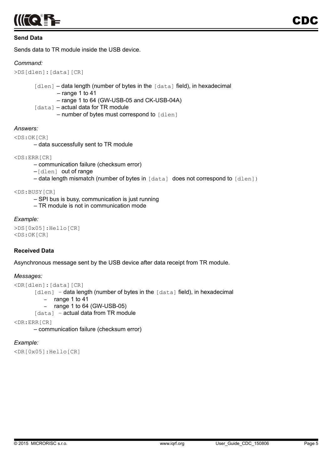

#### **Send Data**

Sends data to TR module inside the USB device.

#### *Command:*

```
>DS[dlen]:[data][CR]
```
[dlen] - data length (number of bytes in the [data] field), in hexadecimal

– range 1 to 41

– range 1 to 64 (GW-USB-05 and CK-USB-04A)

- [data] actual data for TR module
	- number of bytes must correspond to [dlen]

#### *Answers:*

<DS:OK[CR]

– data successfully sent to TR module

<DS:ERR[CR]

– communication failure (checksum error)

–[dlen] out of range

– data length mismatch (number of bytes in [data] does not correspond to [dlen])

<DS:BUSY[CR]

- SPI bus is busy, communication is just running
- TR module is not in communication mode

#### *Example:*

```
>DS[0x05]:Hello[CR]
<DS:OK[CR]
```
#### **Received Data**

Asynchronous message sent by the USB device after data receipt from TR module.

#### *Messages:*

```
<DR[dlen]:[data][CR]
       [dlen] - data length (number of bytes in the <math>[data]</math> field), in hexadecimal– range 1 to 41
           – range 1 to 64 (GW-USB-05)
       [data] - actual data from TR module
```
<DR:ERR[CR]

– communication failure (checksum error)

#### *Example:*

```
<DR[0x05]:Hello[CR]
```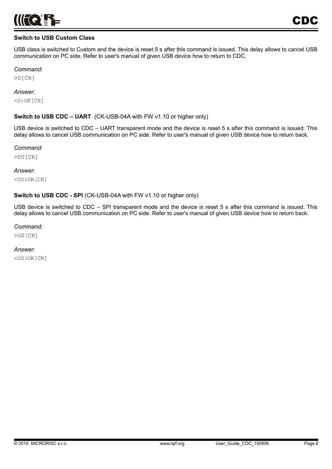

#### **Switch to USB Custom Class**

USB class is switched to Custom and the device is reset 5 s after this command is issued. This delay allows to cancel USB communication on PC side. Refer to user's manual of given USB device how to return to CDC.

#### *Command:*

>U[CR]

#### *Answer:*

<U:OK[CR]

#### **Switch to USB CDC – UART** (CK-USB-04A with FW v1.10 or higher only)

USB device is switched to CDC – UART transparent mode and the device is reset 5 s after this command is issued. This delay allows to cancel USB communication on PC side. Refer to user's manual of given USB device how to return back.

#### *Command:*

>UU[CR]

#### *Answer:*

<UU:OK[CR]

#### **Switch to USB CDC - SPI** (CK-USB-04A with FW v1.10 or higher only)

USB device is switched to CDC – SPI transparent mode and the device is reset 5 s after this command is issued. This delay allows to cancel USB communication on PC side. Refer to user's manual of given USB device how to return back.

#### *Command:*

>US[CR]

#### *Answer:*

<US:OK[CR]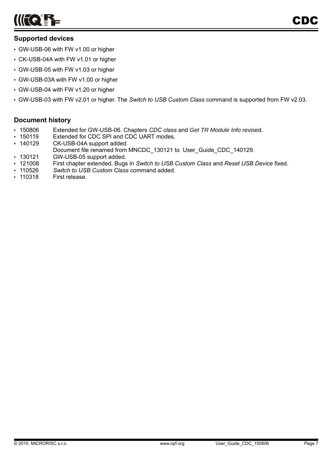

## **Supported devices**

- GW-USB-06 with FW v1.00 or higher
- CK-USB-04A with FW v1.01 or higher
- GW-USB-05 with FW v1.03 or higher
- GW-USB-03A with FW v1.00 or higher
- GW-USB-04 with FW v1.20 or higher
- GW-USB-03 with FW v2.01 or higher. The *Switch to USB Custom Class* command is supported from FW v2.03.

### **Document history**

- 150806 Extended for GW-USB-06. Chapters *CDC class* and *Get TR Module Info* revised.
- 150119 Extended for CDC SPI and CDC UART modes.
- 140129 CK-USB-04A support added.
- Document file renamed from MNCDC\_130121 to User\_Guide\_CDC\_140129.
- 130121 GW-USB-05 support added.
- 121008 First chapter extended. Bugs in *Switch to USB Custom Class* and *Reset USB Device* fixed.
- 110526 *Switch to USB Custom Class* command added.
- 110318 First release.